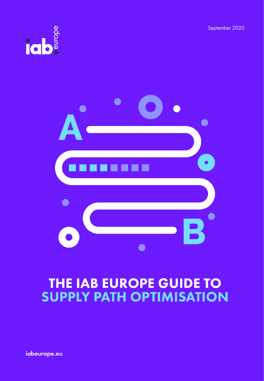September 2020





# THE IAB EUROPE GUIDE TO **SUPPLY PATH OPTIMISATION**

iabeurope.eu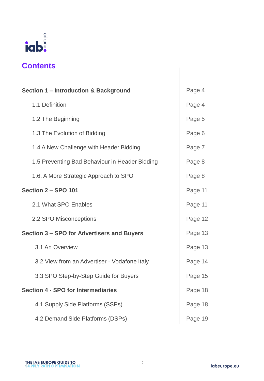

## **Contents**

| <b>Section 1 - Introduction &amp; Background</b> | Page 4  |
|--------------------------------------------------|---------|
| 1.1 Definition                                   | Page 4  |
| 1.2 The Beginning                                | Page 5  |
| 1.3 The Evolution of Bidding                     | Page 6  |
| 1.4 A New Challenge with Header Bidding          | Page 7  |
| 1.5 Preventing Bad Behaviour in Header Bidding   | Page 8  |
| 1.6. A More Strategic Approach to SPO            | Page 8  |
| <b>Section 2 - SPO 101</b>                       | Page 11 |
| 2.1 What SPO Enables                             | Page 11 |
| 2.2 SPO Misconceptions                           | Page 12 |
| Section 3 – SPO for Advertisers and Buyers       | Page 13 |
| 3.1 An Overview                                  | Page 13 |
| 3.2 View from an Advertiser - Vodafone Italy     | Page 14 |
| 3.3 SPO Step-by-Step Guide for Buyers            | Page 15 |
| <b>Section 4 - SPO for Intermediaries</b>        | Page 18 |
| 4.1 Supply Side Platforms (SSPs)                 | Page 18 |
| 4.2 Demand Side Platforms (DSPs)                 | Page 19 |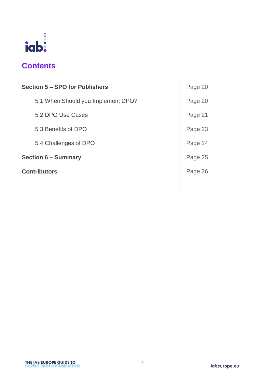

## **Contents**

| Section 5 – SPO for Publishers     | Page 20 |
|------------------------------------|---------|
| 5.1 When Should you Implement DPO? | Page 20 |
| 5.2 DPO Use Cases                  | Page 21 |
| 5.3 Benefits of DPO                | Page 23 |
| 5.4 Challenges of DPO              | Page 24 |
| <b>Section 6 - Summary</b>         | Page 25 |
| <b>Contributors</b>                | Page 26 |
|                                    |         |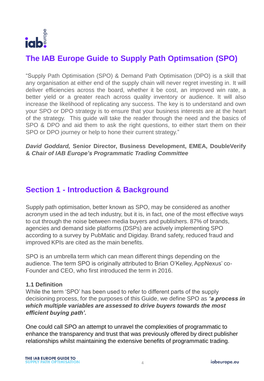

## **The IAB Europe Guide to Supply Path Optimsation (SPO)**

"Supply Path Optimisation (SPO) & Demand Path Optimisation (DPO) is a skill that any organisation at either end of the supply chain will never regret investing in. It will deliver efficiencies across the board, whether it be cost, an improved win rate, a better yield or a greater reach across quality inventory or audience. It will also increase the likelihood of replicating any success. The key is to understand and own your SPO or DPO strategy is to ensure that your business interests are at the heart of the strategy. This guide will take the reader through the need and the basics of SPO & DPO and aid them to ask the right questions, to either start them on their SPO or DPO journey or help to hone their current strategy."

#### *David Goddard,* **Senior Director, Business Development, EMEA, DoubleVerify &** *Chair of IAB Europe's Programmatic Trading Committee*

## **Section 1 - Introduction & Background**

Supply path optimisation, better known as SPO, may be considered as another acronym used in the ad tech industry, but it is, in fact, one of the most effective ways to cut through the noise between media buyers and publishers. 87% of brands, agencies and demand side platforms (DSPs) are actively implementing SPO according to a survey by PubMatic and Digiday. Brand safety, reduced fraud and improved KPIs are cited as the main benefits.

SPO is an umbrella term which can mean different things depending on the audience. The term SPO is originally attributed to Brian O'Kelley, AppNexus' co-Founder and CEO, who first introduced the term in 2016.

#### **1.1 Definition**

While the term 'SPO' has been used to refer to different parts of the supply decisioning process, for the purposes of this Guide, we define SPO as *'a process in which multiple variables are assessed to drive buyers towards the most efficient buying path'.*

One could call SPO an attempt to unravel the complexities of programmatic to enhance the transparency and trust that was previously offered by direct publisher relationships whilst maintaining the extensive benefits of programmatic trading.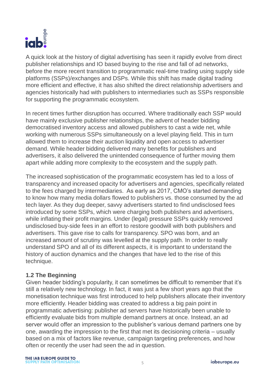

A quick look at the history of digital advertising has seen it rapidly evolve from direct publisher relationships and IO based buying to the rise and fall of ad networks, before the more recent transition to programmatic real-time trading using supply side platforms (SSPs)/exchanges and DSPs. While this shift has made digital trading more efficient and effective, it has also shifted the direct relationship advertisers and agencies historically had with publishers to intermediaries such as SSPs responsible for supporting the programmatic ecosystem.

In recent times further disruption has occurred. Where traditionally each SSP would have mainly exclusive publisher relationships, the advent of header bidding democratised inventory access and allowed publishers to cast a wide net, while working with numerous SSPs simultaneously on a level playing field. This in turn allowed them to increase their auction liquidity and open access to advertiser demand. While header bidding delivered many benefits for publishers and advertisers, it also delivered the unintended consequence of further moving them apart while adding more complexity to the ecosystem and the supply path.

The increased sophistication of the programmatic ecosystem has led to a loss of transparency and increased opacity for advertisers and agencies, specifically related to the fees charged by intermediaries. As early as 2017, CMO's started demanding to know how many media dollars flowed to publishers vs. those consumed by the ad tech layer. As they dug deeper, savvy advertisers started to find undisclosed fees introduced by some SSPs, which were charging both publishers and advertisers, while inflating their profit margins. Under (legal) pressure SSPs quickly removed undisclosed buy-side fees in an effort to restore goodwill with both publishers and advertisers. This gave rise to calls for transparency. SPO was born, and an increased amount of scrutiny was levelled at the supply path. In order to really understand SPO and all of its different aspects, it is important to understand the history of auction dynamics and the changes that have led to the rise of this technique.

#### **1.2 The Beginning**

Given header bidding's popularity, it can sometimes be difficult to remember that it's still a relatively new technology. In fact, it was just a few short years ago that the monetisation technique was first introduced to help publishers allocate their inventory more efficiently. Header bidding was created to address a big pain point in programmatic advertising: publisher ad servers have historically been unable to efficiently evaluate bids from multiple demand partners at once. Instead, an ad server would offer an impression to the publisher's various demand partners one by one, awarding the impression to the first that met its decisioning criteria – usually based on a mix of factors like revenue, campaign targeting preferences, and how often or recently the user had seen the ad in question.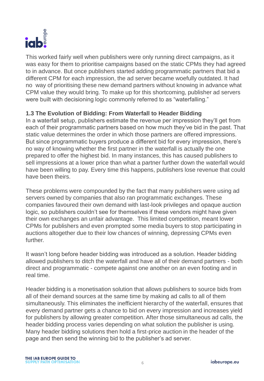

This worked fairly well when publishers were only running direct campaigns, as it was easy for them to prioritise campaigns based on the static CPMs they had agreed to in advance. But once publishers started adding programmatic partners that bid a different CPM for each impression, the ad server became woefully outdated. It had no way of prioritising these new demand partners without knowing in advance what CPM value they would bring. To make up for this shortcoming, publisher ad servers were built with decisioning logic commonly referred to as "waterfalling."

#### **1.3 The Evolution of Bidding: From Waterfall to Header Bidding**

In a waterfall setup, publishers estimate the revenue per impression they'll get from each of their programmatic partners based on how much they've bid in the past. That static value determines the order in which those partners are offered impressions. But since programmatic buyers produce a different bid for every impression, there's no way of knowing whether the first partner in the waterfall is actually the one prepared to offer the highest bid. In many instances, this has caused publishers to sell impressions at a lower price than what a partner further down the waterfall would have been willing to pay. Every time this happens, publishers lose revenue that could have been theirs.

These problems were compounded by the fact that many publishers were using ad servers owned by companies that also ran programmatic exchanges. These companies favoured their own demand with last-look privileges and opaque auction logic, so publishers couldn't see for themselves if these vendors might have given their own exchanges an unfair advantage. This limited competition, meant lower CPMs for publishers and even prompted some media buyers to stop participating in auctions altogether due to their low chances of winning, depressing CPMs even further.

It wasn't long before header bidding was introduced as a solution. Header bidding allowed publishers to ditch the waterfall and have all of their demand partners - both direct and programmatic - compete against one another on an even footing and in real time.

Header bidding is a monetisation solution that allows publishers to source bids from all of their demand sources at the same time by making ad calls to all of them simultaneously. This eliminates the inefficient hierarchy of the waterfall, ensures that every demand partner gets a chance to bid on every impression and increases yield for publishers by allowing greater competition. After those simultaneous ad calls, the header bidding process varies depending on what solution the publisher is using. Many header bidding solutions then hold a first-price auction in the header of the page and then send the winning bid to the publisher's ad server.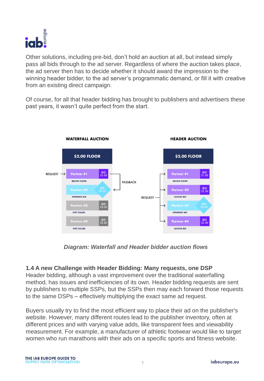

Other solutions, including pre-bid, don't hold an auction at all, but instead simply pass all bids through to the ad server. Regardless of where the auction takes place, the ad server then has to decide whether it should award the impression to the winning header bidder, to the ad server's programmatic demand, or fill it with creative from an existing direct campaign.

Of course, for all that header bidding has brought to publishers and advertisers these past years, it wasn't quite perfect from the start.



*Diagram: Waterfall and Header bidder auction flows*

#### **1.4 A new Challenge with Header Bidding: Many requests, one DSP**

Header bidding, although a vast improvement over the traditional waterfalling method, has issues and inefficiencies of its own. Header bidding requests are sent by publishers to multiple SSPs, but the SSPs then may each forward those requests to the same DSPs – effectively multiplying the exact same ad request.

Buyers usually try to find the most efficient way to place their ad on the publisher's website. However, many different routes lead to the publisher inventory, often at different prices and with varying value adds, like transparent fees and viewability measurement. For example, a manufacturer of athletic footwear would like to target women who run marathons with their ads on a specific sports and fitness website.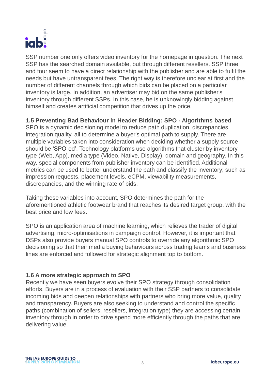

SSP number one only offers video inventory for the homepage in question. The next SSP has the searched domain available, but through different resellers. SSP three and four seem to have a direct relationship with the publisher and are able to fulfil the needs but have untransparent fees. The right way is therefore unclear at first and the number of different channels through which bids can be placed on a particular inventory is large. In addition, an advertiser may bid on the same publisher's inventory through different SSPs. In this case, he is unknowingly bidding against himself and creates artificial competition that drives up the price.

#### **1.5 Preventing Bad Behaviour in Header Bidding: SPO - Algorithms based**

SPO is a dynamic decisioning model to reduce path duplication, discrepancies, integration quality, all to determine a buyer's optimal path to supply. There are multiple variables taken into consideration when deciding whether a supply source should be 'SPO-ed'. Technology platforms use algorithms that cluster by inventory type (Web, App), media type (Video, Native, Display), domain and geography. In this way, special components from publisher inventory can be identified. Additional metrics can be used to better understand the path and classify the inventory; such as impression requests, placement levels, eCPM, viewability measurements, discrepancies, and the winning rate of bids.

Taking these variables into account, SPO determines the path for the aforementioned athletic footwear brand that reaches its desired target group, with the best price and low fees.

SPO is an application area of machine learning, which relieves the trader of digital advertising, micro-optimisations in campaign control. However, it is important that DSPs also provide buyers manual SPO controls to override any algorithmic SPO decisioning so that their media buying behaviours across trading teams and business lines are enforced and followed for strategic alignment top to bottom.

#### **1.6 A more strategic approach to SPO**

Recently we have seen buyers evolve their SPO strategy through consolidation efforts. Buyers are in a process of evaluation with their SSP partners to consolidate incoming bids and deepen relationships with partners who bring more value, quality and transparency. Buyers are also seeking to understand and control the specific paths (combination of sellers, resellers, integration type) they are accessing certain inventory through in order to drive spend more efficiently through the paths that are delivering value.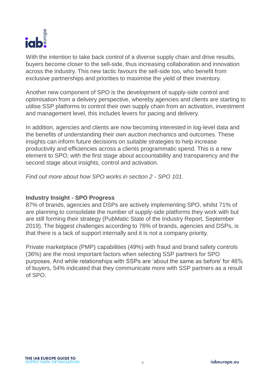

With the intention to take back control of a diverse supply chain and drive results, buyers become closer to the sell-side, thus increasing collaboration and innovation across the industry. This new tactic favours the sell-side too, who benefit from exclusive partnerships and priorities to maximise the yield of their inventory.

Another new component of SPO is the development of supply-side control and optimisation from a delivery perspective, whereby agencies and clients are starting to utilise SSP platforms to control their own supply chain from an activation, investment and management level, this includes levers for pacing and delivery.

In addition, agencies and clients are now becoming interested in log-level data and the benefits of understanding their own auction mechanics and outcomes. These insights can inform future decisions on suitable strategies to help increase productivity and efficiencies across a clients programmatic spend. This is a new element to SPO; with the first stage about accountability and transparency and the second stage about insights, control and activation.

*Find out more about how SPO works in section 2 - SPO 101.*

#### **Industry Insight - SPO Progress**

87% of brands, agencies and DSPs are actively implementing SPO, whilst 71% of are planning to consolidate the number of supply-side platforms they work with but are still forming their strategy (PubMatic State of the Industry Report, September 2019). The biggest challenges according to 76% of brands, agencies and DSPs, is that there is a lack of support internally and it is not a company priority.

Private marketplace (PMP) capabilities (49%) with fraud and brand safety controls (36%) are the most important factors when selecting SSP partners for SPO purposes. And while relationships with SSPs are 'about the same as before' for 46% of buyers, 54% indicated that they communicate more with SSP partners as a result of SPO.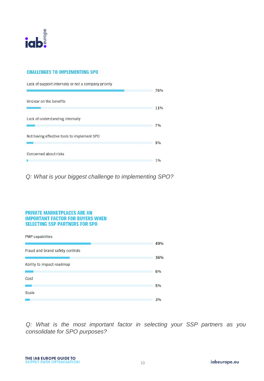

#### **CHALLENGES TO IMPLEMENTING SPO**

Lack of support internally or not a company priority 76% Unclear on the benefits 11% Lack of understanding internally  $7%$ Not having effective tools to implement SPO 5% Concerned about risks 1% ń

*Q: What is your biggest challenge to implementing SPO?*

#### **PRIVATE MARKETPLACES ARE AN IMPORTANT FACTOR FOR BUYERS WHEN SELECTING SSP PARTNERS FOR SPO**



*Q: What is the most important factor in selecting your SSP partners as you consolidate for SPO purposes?*

THE IAB EUROPE GUIDE TO **SUPPLY PATH OPTIMISATION**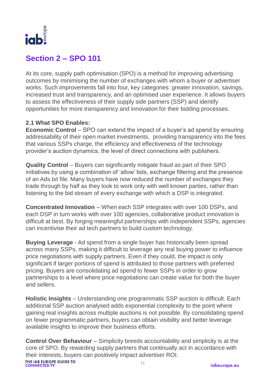

## **Section 2 – SPO 101**

At its core, supply path optimisation (SPO) is a method for improving advertising outcomes by minimising the number of exchanges with whom a buyer or advertiser works. Such improvements fall into four, key categories: greater innovation, savings, increased trust and transparency, and an optimised user experience. It allows buyers to assess the effectiveness of their supply side partners (SSP) and identify opportunities for more transparency and innovation for their bidding processes.

#### **2.1 What SPO Enables:**

**Economic Control** – SPO can extend the impact of a buyer's ad spend by ensuring addressability of their open market investments, providing transparency into the fees that various SSPs charge, the efficiency and effectiveness of the technology provider's auction dynamics, the level of direct connections with publishers.

**Quality Control** – Buyers can significantly mitigate fraud as part of their SPO initiatives by using a combination of 'allow' lists, exchange filtering and the presence of an Ads.txt file. Many buyers have now reduced the number of exchanges they trade through by half as they look to work only with well known parties, rather than listening to the bid stream of every exchange with which a DSP is integrated.

**Concentrated Innovation** – When each SSP integrates with over 100 DSPs, and each DSP in turn works with over 100 agencies, collaborative product innovation is difficult at best. By forging meaningful partnerships with independent SSPs, agencies can incentivise their ad tech partners to build custom technology.

**Buying Leverage** - Ad spend from a single buyer has historically been spread across many SSPs, making it difficult to leverage any real buying power to influence price negotiations with supply partners. Even if they could, the impact is only significant if larger portions of spend is attributed to those partners with preferred pricing. Buyers are consolidating ad spend to fewer SSPs in order to grow partnerships to a level where price negotiations can create value for both the buyer and sellers.

**Holistic Insights** – Understanding one programmatic SSP auction is difficult. Each additional SSP auction analysed adds exponential complexity to the point where gaining real insights across multiple auctions is not possible. By consolidating spend on fewer programmatic partners, buyers can obtain visibility and better leverage available insights to improve their business efforts.

**Control Over Behaviour** – Simplicity breeds accountability and simplicity is at the core of SPO. By rewarding supply partners that continually act in accordance with their interests, buyers can positively impact advertiser ROI.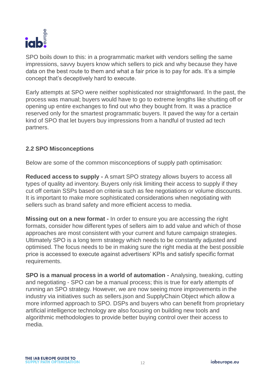

SPO boils down to this: in a programmatic market with vendors selling the same impressions, savvy buyers know which sellers to pick and why because they have data on the best route to them and what a fair price is to pay for ads. It's a simple concept that's deceptively hard to execute.

Early attempts at SPO were neither sophisticated nor straightforward. In the past, the process was manual; buyers would have to go to extreme lengths like shutting off or opening up entire exchanges to find out who they bought from. It was a practice reserved only for the smartest programmatic buyers. It paved the way for a certain kind of SPO that let buyers buy impressions from a handful of trusted ad tech partners.

#### **2.2 SPO Misconceptions**

Below are some of the common misconceptions of supply path optimisation:

**Reduced access to supply -** A smart SPO strategy allows buyers to access all types of quality ad inventory. Buyers only risk limiting their access to supply if they cut off certain SSPs based on criteria such as fee negotiations or volume discounts. It is important to make more sophisticated considerations when negotiating with sellers such as brand safety and more efficient access to media.

**Missing out on a new format -** In order to ensure you are accessing the right formats, consider how different types of sellers aim to add value and which of those approaches are most consistent with your current and future campaign strategies. Ultimately SPO is a long term strategy which needs to be constantly adjusted and optimised. The focus needs to be in making sure the right media at the best possible price is accessed to execute against advertisers' KPIs and satisfy specific format requirements.

**SPO is a manual process in a world of automation -** Analysing, tweaking, cutting and negotiating - SPO can be a manual process; this is true for early attempts of running an SPO strategy. However, we are now seeing more improvements in the industry via initiatives such as sellers.json and SupplyChain Object which allow a more informed approach to SPO. DSPs and buyers who can benefit from proprietary artificial intelligence technology are also focusing on building new tools and algorithmic methodologies to provide better buying control over their access to media.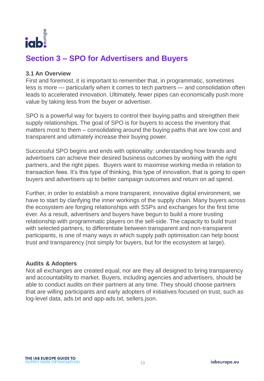

## **Section 3 – SPO for Advertisers and Buyers**

#### **3.1 An Overview**

First and foremost, it is important to remember that, in programmatic, sometimes less is more — particularly when it comes to tech partners — and consolidation often leads to accelerated innovation. Ultimately, fewer pipes can economically push more value by taking less from the buyer or advertiser.

SPO is a powerful way for buyers to control their buying paths and strengthen their supply relationships. The goal of SPO is for buyers to access the inventory that matters most to them – consolidating around the buying paths that are low cost and transparent and ultimately increase their buying power.

Successful SPO begins and ends with optionality: understanding how brands and advertisers can achieve their desired business outcomes by working with the right partners, and the right pipes. Buyers want to maximise working media in relation to transaction fees. It's this type of thinking, this type of innovation, that is going to open buyers and advertisers up to better campaign outcomes and return on ad spend.

Further, in order to establish a more transparent, innovative digital environment, we have to start by clarifying the inner workings of the supply chain. Many buyers across the ecosystem are forging relationships with SSPs and exchanges for the first time ever. As a result, advertisers and buyers have begun to build a more trusting relationship with programmatic players on the sell-side. The capacity to build trust with selected partners, to differentiate between transparent and non-transparent participants, is one of many ways in which supply path optimisation can help boost trust and transparency (not simply for buyers, but for the ecosystem at large).

#### **Audits & Adopters**

Not all exchanges are created equal, nor are they all designed to bring transparency and accountability to market. Buyers, including agencies and advertisers, should be able to conduct audits on their partners at any time. They should choose partners that are willing participants and early adopters of initiatives focused on trust, such as log-level data, ads.txt and app-ads.txt, sellers.json.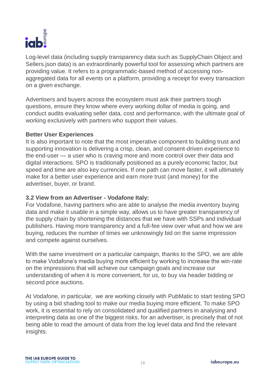

Log-level data (including supply transparency data such as SupplyChain Object and Sellers.json data) is an extraordinarily powerful tool for assessing which partners are providing value. It refers to a programmatic-based method of accessing nonaggregated data for all events on a platform, providing a receipt for every transaction on a given exchange.

Advertisers and buyers across the ecosystem must ask their partners tough questions, ensure they know where every working dollar of media is going, and conduct audits evaluating seller data, cost and performance, with the ultimate goal of working exclusively with partners who support their values.

#### **Better User Experiences**

It is also important to note that the most imperative component to building trust and supporting innovation is delivering a crisp, clean, and consent-driven experience to the end-user — a user who is craving more and more control over their data and digital interactions. SPO is traditionally positioned as a purely economic factor, but speed and time are also key currencies. If one path can move faster, it will ultimately make for a better user experience and earn more trust (and money) for the advertiser, buyer, or brand.

#### **3.2 View from an Advertiser - Vodafone Italy:**

For Vodafone, having partners who are able to analyse the media inventory buying data and make it usable in a simple way, allows us to have greater transparency of the supply chain by shortening the distances that we have with SSPs and individual publishers. Having more transparency and a full-fee view over what and how we are buying, reduces the number of times we unknowingly bid on the same impression and compete against ourselves.

With the same investment on a particular campaign, thanks to the SPO, we are able to make Vodafone's media buying more efficient by working to increase the win-rate on the impressions that will achieve our campaign goals and increase our understanding of when it is more convenient, for us, to buy via header bidding or second price auctions.

At Vodafone, in particular, we are working closely with PubMatic to start testing SPO by using a bid shading tool to make our media buying more efficient. To make SPO work, it is essential to rely on consolidated and qualified partners in analysing and interpreting data as one of the biggest risks, for an advertiser, is precisely that of not being able to read the amount of data from the log level data and find the relevant insights.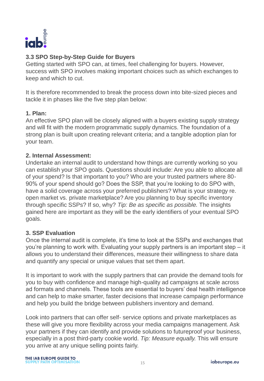

#### **3.3 SPO Step-by-Step Guide for Buyers**

Getting started with SPO can, at times, feel challenging for buyers. However, success with SPO involves making important choices such as which exchanges to keep and which to cut.

It is therefore recommended to break the process down into bite-sized pieces and tackle it in phases like the five step plan below:

#### **1. Plan:**

An effective SPO plan will be closely aligned with a buyers existing supply strategy and will fit with the modern programmatic supply dynamics. The foundation of a strong plan is built upon creating relevant criteria; and a tangible adoption plan for your team.

#### **2. Internal Assessment:**

Undertake an internal audit to understand how things are currently working so you can establish your SPO goals. Questions should include: Are you able to allocate all of your spend? Is that important to you? Who are your trusted partners where 80- 90% of your spend should go? Does the SSP, that you're looking to do SPO with, have a solid coverage across your preferred publishers? What is your strategy re. open market vs. private marketplace? Are you planning to buy specific inventory through specific SSPs? If so, why? *Tip: Be as specific as possible.* The insights gained here are important as they will be the early identifiers of your eventual SPO goals.

#### **3. SSP Evaluation**

Once the internal audit is complete, it's time to look at the SSPs and exchanges that you're planning to work with. Evaluating your supply partners is an important step – it allows you to understand their differences, measure their willingness to share data and quantify any special or unique values that set them apart.

It is important to work with the supply partners that can provide the demand tools for you to buy with confidence and manage high-quality ad campaigns at scale across ad formats and channels. These tools are essential to buyers' deal health intelligence and can help to make smarter, faster decisions that increase campaign performance and help you build the bridge between publishers inventory and demand.

Look into partners that can offer self- service options and private marketplaces as these will give you more flexibility across your media campaigns management. Ask your partners if they can identify and provide solutions to futureproof your business, especially in a post third-party cookie world. *Tip: Measure equally.* This will ensure you arrive at any unique selling points fairly.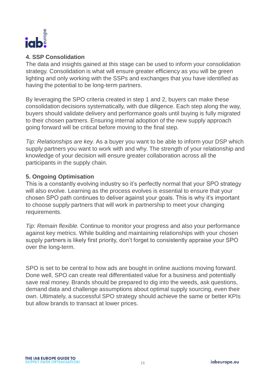

#### **4. SSP Consolidation**

The data and insights gained at this stage can be used to inform your consolidation strategy. Consolidation is what will ensure greater efficiency as you will be green lighting and only working with the SSPs and exchanges that you have identified as having the potential to be long-term partners.

By leveraging the SPO criteria created in step 1 and 2, buyers can make these consolidation decisions systematically, with due diligence. Each step along the way, buyers should validate delivery and performance goals until buying is fully migrated to their chosen partners. Ensuring internal adoption of the new supply approach going forward will be critical before moving to the final step.

*Tip: Relationships are key.* As a buyer you want to be able to inform your DSP which supply partners you want to work with and why. The strength of your relationship and knowledge of your decision will ensure greater collaboration across all the participants in the supply chain.

#### **5. Ongoing Optimisation**

This is a constantly evolving industry so it's perfectly normal that your SPO strategy will also evolve. Learning as the process evolves is essential to ensure that your chosen SPO path continues to deliver against your goals. This is why it's important to choose supply partners that will work in partnership to meet your changing requirements.

*Tip: Remain flexible.* Continue to monitor your progress and also your performance against key metrics. While building and maintaining relationships with your chosen supply partners is likely first priority, don't forget to consistently appraise your SPO over the long-term.

SPO is set to be central to how ads are bought in online auctions moving forward. Done well, SPO can create real differentiated value for a business and potentially save real money. Brands should be prepared to dig into the weeds, ask questions, demand data and challenge assumptions about optimal supply sourcing, even their own. Ultimately, a successful SPO strategy should achieve the same or better KPIs but allow brands to transact at lower prices.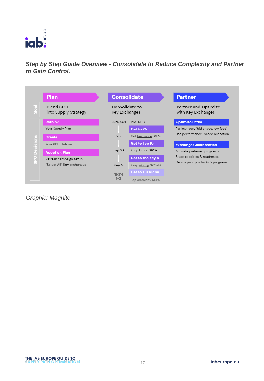

*Step by Step Guide Overview - Consolidate to Reduce Complexity and Partner to Gain Control.*



*Graphic: Magnite*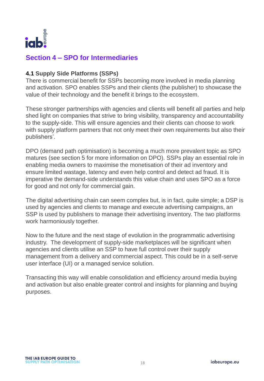

### **Section 4 – SPO for Intermediaries**

#### **4.1 Supply Side Platforms (SSPs)**

There is commercial benefit for SSPs becoming more involved in media planning and activation. SPO enables SSPs and their clients (the publisher) to showcase the value of their technology and the benefit it brings to the ecosystem.

These stronger partnerships with agencies and clients will benefit all parties and help shed light on companies that strive to bring visibility, transparency and accountability to the supply-side. This will ensure agencies and their clients can choose to work with supply platform partners that not only meet their own requirements but also their publishers'.

DPO (demand path optimisation) is becoming a much more prevalent topic as SPO matures (see section 5 for more information on DPO). SSPs play an essential role in enabling media owners to maximise the monetisation of their ad inventory and ensure limited wastage, latency and even help control and detect ad fraud. It is imperative the demand-side understands this value chain and uses SPO as a force for good and not only for commercial gain.

The digital advertising chain can seem complex but, is in fact, quite simple; a DSP is used by agencies and clients to manage and execute advertising campaigns, an SSP is used by publishers to manage their advertising inventory. The two platforms work harmoniously together.

Now to the future and the next stage of evolution in the programmatic advertising industry. The development of supply-side marketplaces will be significant when agencies and clients utilise an SSP to have full control over their supply management from a delivery and commercial aspect. This could be in a self-serve user interface (UI) or a managed service solution.

Transacting this way will enable consolidation and efficiency around media buying and activation but also enable greater control and insights for planning and buying purposes.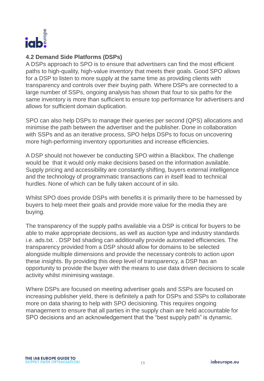

#### **4.2 Demand Side Platforms (DSPs)**

A DSPs approach to SPO is to ensure that advertisers can find the most efficient paths to high-quality, high-value inventory that meets their goals. Good SPO allows for a DSP to listen to more supply at the same time as providing clients with transparency and controls over their buying path. Where DSPs are connected to a large number of SSPs, ongoing analysis has shown that four to six paths for the same inventory is more than sufficient to ensure top performance for advertisers and allows for sufficient domain duplication.

SPO can also help DSPs to manage their queries per second (QPS) allocations and minimise the path between the advertiser and the publisher. Done in collaboration with SSPs and as an iterative process, SPO helps DSPs to focus on uncovering more high-performing inventory opportunities and increase efficiencies.

A DSP should not however be conducting SPO within a Blackbox. The challenge would be that it would only make decisions based on the information available. Supply pricing and accessibility are constantly shifting, buyers external intelligence and the technology of programmatic transactions can in itself lead to technical hurdles. None of which can be fully taken account of in silo.

Whilst SPO does provide DSPs with benefits it is primarily there to be harnessed by buyers to help meet their goals and provide more value for the media they are buying.

The transparency of the supply paths available via a DSP is critical for buyers to be able to make appropriate decisions, as well as auction type and industry standards i.e. ads.txt. . DSP bid shading can additionally provide automated efficiencies. The transparency provided from a DSP should allow for domains to be selected alongside multiple dimensions and provide the necessary controls to action upon these insights. By providing this deep level of transparency, a DSP has an opportunity to provide the buyer with the means to use data driven decisions to scale activity whilst minimising wastage.

Where DSPs are focused on meeting advertiser goals and SSPs are focused on increasing publisher yield, there is definitely a path for DSPs and SSPs to collaborate more on data sharing to help with SPO decisioning. This requires ongoing management to ensure that all parties in the supply chain are held accountable for SPO decisions and an acknowledgement that the "best supply path" is dynamic.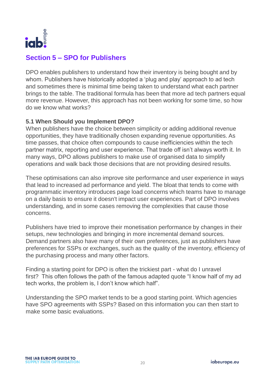

## **Section 5 – SPO for Publishers**

DPO enables publishers to understand how their inventory is being bought and by whom. Publishers have historically adopted a 'plug and play' approach to ad tech and sometimes there is minimal time being taken to understand what each partner brings to the table. The traditional formula has been that more ad tech partners equal more revenue. However, this approach has not been working for some time, so how do we know what works?

#### **5.1 When Should you Implement DPO?**

When publishers have the choice between simplicity or adding additional revenue opportunities, they have traditionally chosen expanding revenue opportunities. As time passes, that choice often compounds to cause inefficiencies within the tech partner matrix, reporting and user experience. That trade off isn't always worth it. In many ways, DPO allows publishers to make use of organised data to simplify operations and walk back those decisions that are not providing desired results.

These optimisations can also improve site performance and user experience in ways that lead to increased ad performance and yield. The bloat that tends to come with programmatic inventory introduces page load concerns which teams have to manage on a daily basis to ensure it doesn't impact user experiences. Part of DPO involves understanding, and in some cases removing the complexities that cause those concerns.

Publishers have tried to improve their monetisation performance by changes in their setups, new technologies and bringing in more incremental demand sources. Demand partners also have many of their own preferences, just as publishers have preferences for SSPs or exchanges, such as the quality of the inventory, efficiency of the purchasing process and many other factors.

Finding a starting point for DPO is often the trickiest part - what do I unravel first? This often follows the path of the famous adapted quote "I know half of my ad tech works, the problem is, I don't know which half".

Understanding the SPO market tends to be a good starting point. Which agencies have SPO agreements with SSPs? Based on this information you can then start to make some basic evaluations.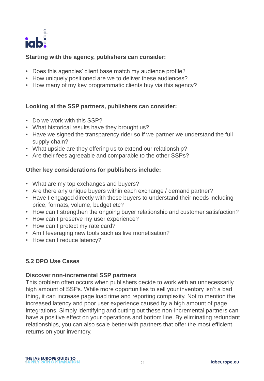

#### **Starting with the agency, publishers can consider:**

- Does this agencies' client base match my audience profile?
- How uniquely positioned are we to deliver these audiences?
- How many of my key programmatic clients buy via this agency?

#### **Looking at the SSP partners, publishers can consider:**

- Do we work with this SSP?
- What historical results have they brought us?
- Have we signed the transparency rider so if we partner we understand the full supply chain?
- What upside are they offering us to extend our relationship?
- Are their fees agreeable and comparable to the other SSPs?

#### **Other key considerations for publishers include:**

- What are my top exchanges and buyers?
- Are there any unique buyers within each exchange / demand partner?
- Have I engaged directly with these buyers to understand their needs including price, formats, volume, budget etc?
- How can I strengthen the ongoing buyer relationship and customer satisfaction?
- How can I preserve my user experience?
- How can I protect my rate card?
- Am I leveraging new tools such as live monetisation?
- How can I reduce latency?

#### **5.2 DPO Use Cases**

#### **Discover non-incremental SSP partners**

This problem often occurs when publishers decide to work with an unnecessarily high amount of SSPs. While more opportunities to sell your inventory isn't a bad thing, it can increase page load time and reporting complexity. Not to mention the increased latency and poor user experience caused by a high amount of page integrations. Simply identifying and cutting out these non-incremental partners can have a positive effect on your operations and bottom line. By eliminating redundant relationships, you can also scale better with partners that offer the most efficient returns on your inventory.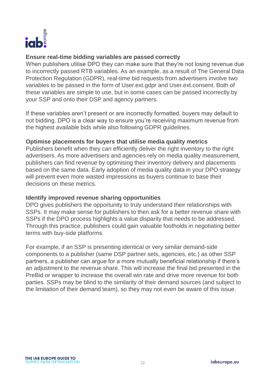

#### **Ensure real-time bidding variables are passed correctly**

When publishers utilise DPO they can make sure that they're not losing revenue due to incorrectly passed RTB variables. As an example, as a result of The General Data Protection Regulation (GDPR), real-time bid requests from advertisers involve two variables to be passed in the form of User.ext.gdpr and User.ext.consent. Both of these variables are simple to use, but in some cases can be passed incorrectly by your SSP and onto their DSP and agency partners.

If these variables aren't present or are incorrectly formatted, buyers may default to not bidding. DPO is a clear way to ensure you're receiving maximum revenue from the highest available bids while also following GDPR guidelines.

#### **Optimise placements for buyers that utilise media quality metrics**

Publishers benefit when they can efficiently deliver the right inventory to the right advertisers. As more advertisers and agencies rely on media quality measurement, publishers can find revenue by optimising their inventory delivery and placements based on the same data. Early adoption of media quality data in your DPO strategy will prevent even more wasted impressions as buyers continue to base their decisions on these metrics.

#### **Identify improved revenue sharing opportunities**

DPO gives publishers the opportunity to truly understand their relationships with SSPs. It may make sense for publishers to then ask for a better revenue share with SSPs if the DPO process highlights a value disparity that needs to be addressed. Through this practice, publishers could gain valuable footholds in negotiating better terms with buy-side platforms.

For example, if an SSP is presenting identical or very similar demand-side components to a publisher (same DSP partner sets, agencies, etc.) as other SSP partners, a publisher can argue for a more mutually beneficial relationship if there's an adjustment to the revenue share. This will increase the final bid presented in the PreBid or wrapper to increase the overall win rate and drive more revenue for both parties. SSPs may be blind to the similarity of their demand sources (and subject to the limitation of their demand team), so they may not even be aware of this issue.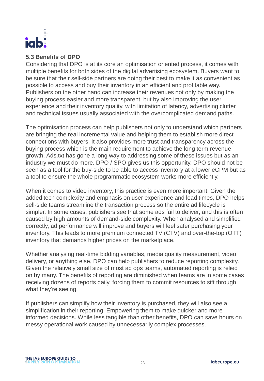

#### **5.3 Benefits of DPO**

Considering that DPO is at its core an optimisation oriented process, it comes with multiple benefits for both sides of the digital advertising ecosystem. Buyers want to be sure that their sell-side partners are doing their best to make it as convenient as possible to access and buy their inventory in an efficient and profitable way. Publishers on the other hand can increase their revenues not only by making the buying process easier and more transparent, but by also improving the user experience and their inventory quality, with limitation of latency, advertising clutter and technical issues usually associated with the overcomplicated demand paths.

The optimisation process can help publishers not only to understand which partners are bringing the real incremental value and helping them to establish more direct connections with buyers. It also provides more trust and transparency across the buying process which is the main requirement to achieve the long term revenue growth. Ads.txt has gone a long way to addressing some of these issues but as an industry we must do more. DPO / SPO gives us this opportunity. DPO should not be seen as a tool for the buy-side to be able to access inventory at a lower eCPM but as a tool to ensure the whole programmatic ecosystem works more efficiently.

When it comes to video inventory, this practice is even more important. Given the added tech complexity and emphasis on user experience and load times, DPO helps sell-side teams streamline the transaction process so the entire ad lifecycle is simpler. In some cases, publishers see that some ads fail to deliver, and this is often caused by high amounts of demand-side complexity. When analysed and simplified correctly, ad performance will improve and buyers will feel safer purchasing your inventory. This leads to more premium connected TV (CTV) and over-the-top (OTT) inventory that demands higher prices on the marketplace.

Whether analysing real-time bidding variables, media quality measurement, video delivery, or anything else, DPO can help publishers to reduce reporting complexity. Given the relatively small size of most ad ops teams, automated reporting is relied on by many. The benefits of reporting are diminished when teams are in some cases receiving dozens of reports daily, forcing them to commit resources to sift through what they're seeing.

If publishers can simplify how their inventory is purchased, they will also see a simplification in their reporting. Empowering them to make quicker and more informed decisions. While less tangible than other benefits, DPO can save hours on messy operational work caused by unnecessarily complex processes.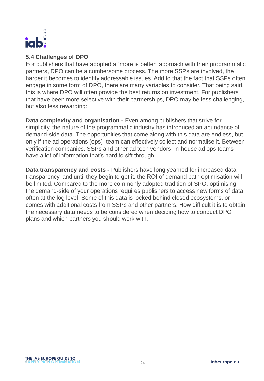

#### **5.4 Challenges of DPO**

For publishers that have adopted a "more is better" approach with their programmatic partners, DPO can be a cumbersome process. The more SSPs are involved, the harder it becomes to identify addressable issues. Add to that the fact that SSPs often engage in some form of DPO, there are many variables to consider. That being said, this is where DPO will often provide the best returns on investment. For publishers that have been more selective with their partnerships, DPO may be less challenging, but also less rewarding:

**Data complexity and organisation -** Even among publishers that strive for simplicity, the nature of the programmatic industry has introduced an abundance of demand-side data. The opportunities that come along with this data are endless, but only if the ad operations (ops) team can effectively collect and normalise it. Between verification companies, SSPs and other ad tech vendors, in-house ad ops teams have a lot of information that's hard to sift through.

**Data transparency and costs -** Publishers have long yearned for increased data transparency, and until they begin to get it, the ROI of demand path optimisation will be limited. Compared to the more commonly adopted tradition of SPO, optimising the demand-side of your operations requires publishers to access new forms of data, often at the log level. Some of this data is locked behind closed ecosystems, or comes with additional costs from SSPs and other partners. How difficult it is to obtain the necessary data needs to be considered when deciding how to conduct DPO plans and which partners you should work with.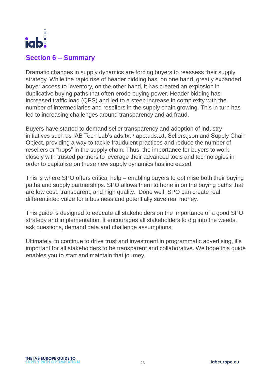

### **Section 6 – Summary**

Dramatic changes in supply dynamics are forcing buyers to reassess their supply strategy. While the rapid rise of header bidding has, on one hand, greatly expanded buyer access to inventory, on the other hand, it has created an explosion in duplicative buying paths that often erode buying power. Header bidding has increased traffic load (QPS) and led to a steep increase in complexity with the number of intermediaries and resellers in the supply chain growing. This in turn has led to increasing challenges around transparency and ad fraud.

Buyers have started to demand seller transparency and adoption of industry initiatives such as IAB Tech Lab's ads.txt / app.ads.txt, Sellers.json and Supply Chain Object, providing a way to tackle fraudulent practices and reduce the number of resellers or "hops" in the supply chain. Thus, the importance for buyers to work closely with trusted partners to leverage their advanced tools and technologies in order to capitalise on these new supply dynamics has increased.

This is where SPO offers critical help – enabling buyers to optimise both their buying paths and supply partnerships. SPO allows them to hone in on the buying paths that are low cost, transparent, and high quality. Done well, SPO can create real differentiated value for a business and potentially save real money.

This guide is designed to educate all stakeholders on the importance of a good SPO strategy and implementation. It encourages all stakeholders to dig into the weeds, ask questions, demand data and challenge assumptions.

Ultimately, to continue to drive trust and investment in programmatic advertising, it's important for all stakeholders to be transparent and collaborative. We hope this guide enables you to start and maintain that journey.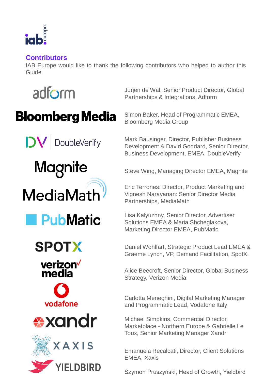

## **Contributors**

IAB Europe would like to thank the following contributors who helped to author this Guide



# **Bloomberg Media**

















Jurjen de Wal, Senior Product Director, Global Partnerships & Integrations, Adform

Simon Baker, Head of Programmatic EMEA, Bloomberg Media Group

Mark Bausinger, Director, Publisher Business Development & David Goddard, Senior Director, Business Development, EMEA, DoubleVerify

Steve Wing, Managing Director EMEA, Magnite

Eric Terrones: Director, Product Marketing and Vignesh Narayanan: Senior Director Media Partnerships, MediaMath

Lisa Kalyuzhny, Senior Director, Advertiser Solutions EMEA & Maria Shcheglakova, Marketing Director EMEA, PubMatic

Daniel Wohlfart, Strategic Product Lead EMEA & Graeme Lynch, VP, Demand Facilitation, SpotX.

Alice Beecroft, Senior Director, Global Business Strategy, Verizon Media

Carlotta Meneghini, Digital Marketing Manager and Programmatic Lead, Vodafone Italy

Michael Simpkins, Commercial Director, Marketplace - Northern Europe & Gabrielle Le Toux, Senior Marketing Manager Xandr

Emanuela Recalcati, Director, Client Solutions EMEA, Xaxis

Szymon Pruszyński, Head of Growth, Yieldbird